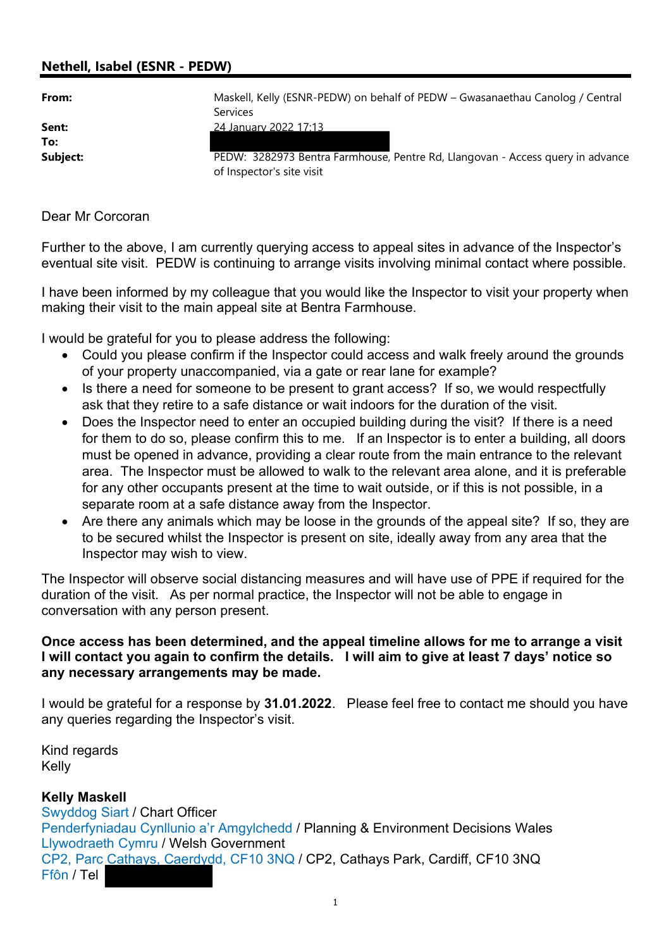## Nethell, Isabel (ESNR - PEDW)

| From:        | Maskell, Kelly (ESNR-PEDW) on behalf of PEDW - Gwasanaethau Canolog / Central<br>Services                   |
|--------------|-------------------------------------------------------------------------------------------------------------|
| Sent:<br>To: | <u>24 January 2022 17:13</u>                                                                                |
| Subject:     | PEDW: 3282973 Bentra Farmhouse, Pentre Rd, Llangovan - Access query in advance<br>of Inspector's site visit |

## Dear Mr Corcoran

Further to the above, I am currently querying access to appeal sites in advance of the Inspector's eventual site visit. PEDW is continuing to arrange visits involving minimal contact where possible.

I have been informed by my colleague that you would like the Inspector to visit your property when making their visit to the main appeal site at Bentra Farmhouse.

I would be grateful for you to please address the following:

- Could you please confirm if the Inspector could access and walk freely around the grounds of your property unaccompanied, via a gate or rear lane for example?
- Is there a need for someone to be present to grant access? If so, we would respectfully ask that they retire to a safe distance or wait indoors for the duration of the visit.
- Does the Inspector need to enter an occupied building during the visit? If there is a need for them to do so, please confirm this to me. If an Inspector is to enter a building, all doors must be opened in advance, providing a clear route from the main entrance to the relevant area. The Inspector must be allowed to walk to the relevant area alone, and it is preferable for any other occupants present at the time to wait outside, or if this is not possible, in a separate room at a safe distance away from the Inspector.
- Are there any animals which may be loose in the grounds of the appeal site? If so, they are to be secured whilst the Inspector is present on site, ideally away from any area that the Inspector may wish to view.

The Inspector will observe social distancing measures and will have use of PPE if required for the duration of the visit. As per normal practice, the Inspector will not be able to engage in conversation with any person present.

## Once access has been determined, and the appeal timeline allows for me to arrange a visit I will contact you again to confirm the details. I will aim to give at least 7 days' notice so any necessary arrangements may be made.

I would be grateful for a response by 31.01.2022. Please feel free to contact me should you have any queries regarding the Inspector's visit.

Kind regards Kelly

## Kelly Maskell

Swyddog Siart / Chart Officer Penderfyniadau Cynllunio a'r Amgylchedd / Planning & Environment Decisions Wales Llywodraeth Cymru / Welsh Government CP2, Parc Cathays, Caerdydd, CF10 3NQ / CP2, Cathays Park, Cardiff, CF10 3NQ Ffôn / Tel